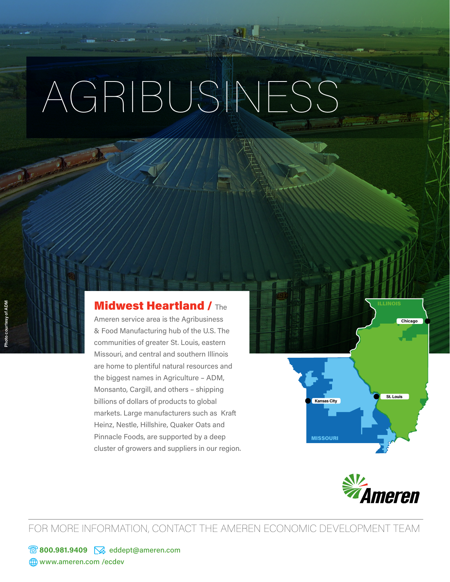## AGRIBUSINESS

## **Midwest Heartland / The**

Ameren service area is the Agribusiness & Food Manufacturing hub of the U.S. The communities of greater St. Louis, eastern Missouri, and central and southern Illinois are home to plentiful natural resources and the biggest names in Agriculture – ADM, Monsanto, Cargill, and others – shipping billions of dollars of products to global markets. Large manufacturers such as Kraft Heinz, Nestle, Hillshire, Quaker Oats and Pinnacle Foods, are supported by a deep cluster of growers and suppliers in our region.

*v.*<br>"Ameren

**St. Louis** 

**Chicago**

MISSOURI

FOR MORE INFORMATION, CONTACT THE AMEREN ECONOMIC DEVELOPMENT TEAM